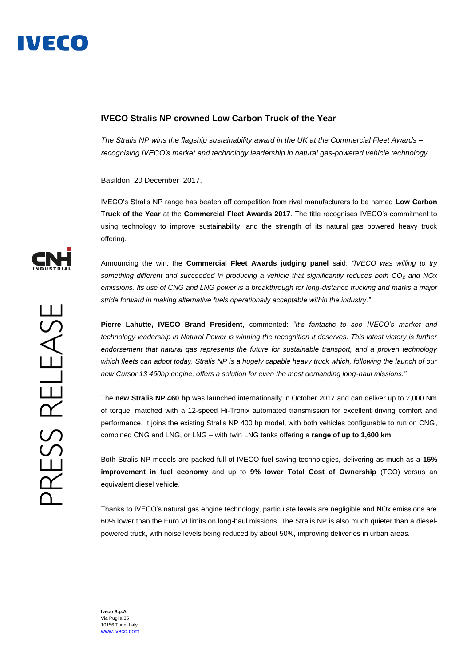## **IVECO Stralis NP crowned Low Carbon Truck of the Year**

*The Stralis NP wins the flagship sustainability award in the UK at the Commercial Fleet Awards – recognising IVECO's market and technology leadership in natural gas-powered vehicle technology*

Basildon, 20 December 2017,

IVECO's Stralis NP range has beaten off competition from rival manufacturers to be named **Low Carbon Truck of the Year** at the **Commercial Fleet Awards 2017**. The title recognises IVECO's commitment to using technology to improve sustainability, and the strength of its natural gas powered heavy truck offering.

Announcing the win, the **Commercial Fleet Awards judging panel** said: *"IVECO was willing to try something different and succeeded in producing a vehicle that significantly reduces both CO<sup>2</sup> and NOx emissions. Its use of CNG and LNG power is a breakthrough for long-distance trucking and marks a major stride forward in making alternative fuels operationally acceptable within the industry."*

**Pierre Lahutte, IVECO Brand President**, commented: *"It's fantastic to see IVECO's market and technology leadership in Natural Power is winning the recognition it deserves. This latest victory is further endorsement that natural gas represents the future for sustainable transport, and a proven technology*  which fleets can adopt today. Stralis NP is a hugely capable heavy truck which, following the launch of our *new Cursor 13 460hp engine, offers a solution for even the most demanding long-haul missions."*

The **new Stralis NP 460 hp** was launched internationally in October 2017 and can deliver up to 2,000 Nm of torque, matched with a 12-speed Hi-Tronix automated transmission for excellent driving comfort and performance. It joins the existing Stralis NP 400 hp model, with both vehicles configurable to run on CNG, combined CNG and LNG, or LNG – with twin LNG tanks offering a **range of up to 1,600 km**.

Both Stralis NP models are packed full of IVECO fuel-saving technologies, delivering as much as a **15% improvement in fuel economy** and up to **9% lower Total Cost of Ownership** (TCO) versus an equivalent diesel vehicle.

Thanks to IVECO's natural gas engine technology, particulate levels are negligible and NOx emissions are 60% lower than the Euro VI limits on long-haul missions. The Stralis NP is also much quieter than a dieselpowered truck, with noise levels being reduced by about 50%, improving deliveries in urban areas.



**Iveco S.p.A.** Via Puglia 35 10156 Turin, Italy [www.iveco.com](http://www.iveco.com/)